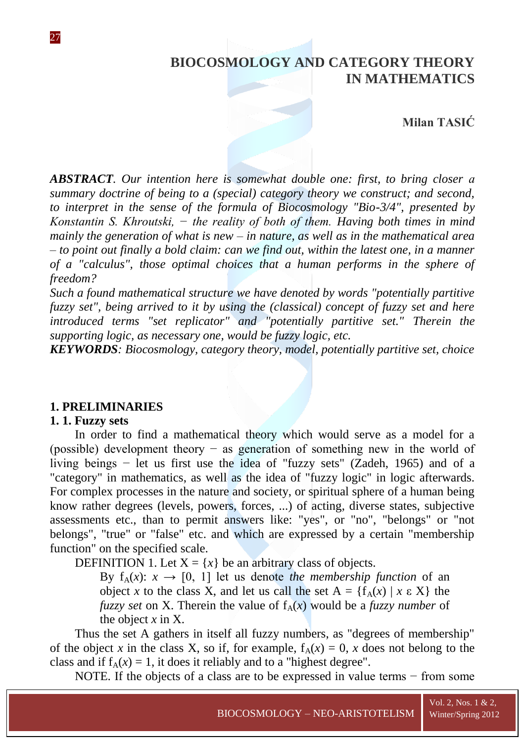# **BIOCOSMOLOGY AND CATEGORY THEORY IN MATHEMATICS**

**Milan TASIĆ** 

*ABSTRACT. Our intention here is somewhat double one: first, to bring closer а summary doctrine of being to a (special) category theory we construct; and second, to interpret in the sense of the formula of Biocosmology "Bio-3/4", presented by Konstantin S. Khroutski, − the reality of both of them. Having both times in mind mainly the generation of what is new – in nature, as well as in the mathematical area – to point out finally a bold claim: can we find out, within the latest one, in a manner of a "calculus", those optimal choices that a human performs in the sphere of freedom?*

*Such a found mathematical structure we have denoted by words "potentially partitive fuzzy set", being arrived to it by using the (classical) concept of fuzzy set and here introduced terms "set replicator" and "potentially partitive set." Therein the supporting logic, as necessary one, would be fuzzy logic, etc.*

*KEYWORDS: Biocosmology, category theory, model, potentially partitive set, choice*

## **1. PRELIMINARIES**

#### **1. 1. Fuzzy sets**

27

In order to find a mathematical theory which would serve as a model for a (possible) development theory − as generation of something new in the world of living beings − let us first use the idea of "fuzzy sets" (Zadeh, 1965) and of a "category" in mathematics, as well as the idea of "fuzzy logic" in logic afterwards. For complex processes in the nature and society, or spiritual sphere of a human being know rather degrees (levels, powers, forces, ...) of acting, diverse states, subjective assessments etc., than to permit answers like: "yes", or "no", "belongs" or "not belongs", "true" or "false" etc. and which are expressed by a certain "membership function" on the specified scale.

DEFINITION 1. Let  $X = \{x\}$  be an arbitrary class of objects.

By  $f_A(x)$ :  $x \to [0, 1]$  let us denote *the membership function* of an object *x* to the class X, and let us call the set  $A = \{f_A(x) | x \in X\}$  the *fuzzy set* on X. Therein the value of  $f_A(x)$  would be a *fuzzy number* of the object *x* in X.

Thus the set A gathers in itself all fuzzy numbers, as "degrees of membership" of the object *x* in the class X, so if, for example,  $f_A(x) = 0$ , *x* does not belong to the class and if  $f_A(x) = 1$ , it does it reliably and to a "highest degree".

NOTE. If the objects of a class are to be expressed in value terms − from some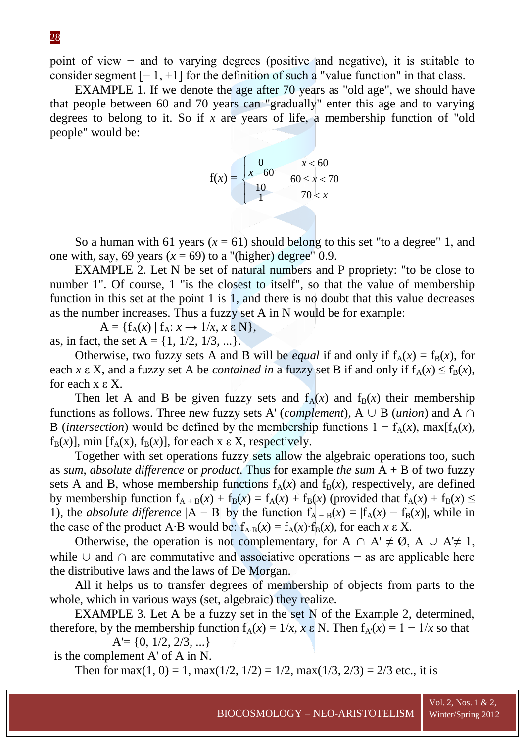point of view − and to varying degrees (positive and negative), it is suitable to consider segment  $[-1, +1]$  for the definition of such a "value function" in that class.

EXAMPLE 1. If we denote the age after 70 years as "old age", we should have that people between 60 and 70 years can "gradually" enter this age and to varying degrees to belong to it. So if *x* are years of life, a membership function of "old people" would be:

$$
f(x) = \begin{cases} 0 & x < 60 \\ \frac{x - 60}{10} & 60 \le x < 70 \\ 1 & 70 < x \end{cases}
$$

So a human with 61 years  $(x = 61)$  should belong to this set "to a degree" 1, and one with, say, 69 years  $(x = 69)$  to a "(higher) degree" 0.9.

EXAMPLE 2. Let N be set of natural numbers and P propriety: "to be close to number 1". Of course, 1 "is the closest to itself", so that the value of membership function in this set at the point 1 is 1, and there is no doubt that this value decreases as the number increases. Thus a fuzzy set A in N would be for example:

 $A = \{f_A(x) | f_A: x \rightarrow 1/x, x \in N\},\$ as, in fact, the set  $A = \{1, 1/2, 1/3, ...\}$ .

Otherwise, two fuzzy sets A and B will be *equal* if and only if  $f_A(x) = f_B(x)$ , for each *x*  $\epsilon$  X, and a fuzzy set A be *contained in* a fuzzy set B if and only if  $f_A(x) \le f_B(x)$ , for each x ε X.

Then let A and B be given fuzzy sets and  $f_A(x)$  and  $f_B(x)$  their membership functions as follows. Three new fuzzy sets A' (*complement*),  $A \cup B$  (*union*) and  $A \cap B$ B (*intersection*) would be defined by the membership functions  $1 - f_A(x)$ , max[f<sub>A</sub>(*x*),  $f_B(x)$ ], min  $[f_A(x), f_B(x)]$ , for each x  $\epsilon$  X, respectively.

Together with set operations fuzzy sets allow the algebraic operations too, such as *sum*, *absolute difference* or *product*. Thus for example *the sum* A + B of two fuzzy sets A and B, whose membership functions  $f_A(x)$  and  $f_B(x)$ , respectively, are defined by membership function  $f_{A+B}(x) + f_B(x) = f_A(x) + f_B(x)$  (provided that  $f_A(x) + f_B(x) \le$ 1), the *absolute* difference  $|A - B|$  by the function  $f_{A - B}(x) = |f_A(x) - f_B(x)|$ , while in the case of the product A∙B would be:  $f_{A<sub>•B</sub>}(x) = f_{A}(x) \cdot f_{B}(x)$ , for each *x*  $\epsilon$  X.

Otherwise, the operation is not complementary, for  $A \cap A' \neq \emptyset$ ,  $A \cup A' \neq 1$ , while  $\cup$  and  $\cap$  are commutative and associative operations – as are applicable here the distributive laws and the laws of De Morgan.

All it helps us to transfer degrees of membership of objects from parts to the whole, which in various ways (set, algebraic) they realize.

EXAMPLE 3. Let A be a fuzzy set in the set N of the Example 2, determined, therefore, by the membership function  $f_A(x) = 1/x$ ,  $x \in N$ . Then  $f_{A}(x) = 1 - 1/x$  so that

 $A' = \{0, 1/2, 2/3, ...\}$ 

is the complement A' of A in N.

Then for max $(1, 0) = 1$ , max $(1/2, 1/2) = 1/2$ , max $(1/3, 2/3) = 2/3$  etc., it is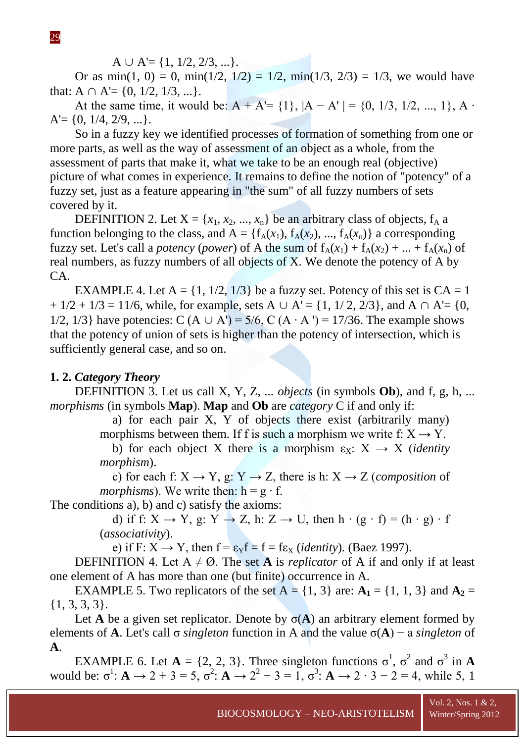$A \cup A' = \{1, 1/2, 2/3, ...\}.$ 

Or as min(1, 0) = 0, min(1/2, 1/2) = 1/2, min(1/3, 2/3) = 1/3, we would have that:  $A \cap A' = \{0, 1/2, 1/3, ...\}$ .

At the same time, it would be:  $A + A' = \{1\}$ ,  $|A - A'| = \{0, 1/3, 1/2, ..., 1\}$ , A  $\cdot$  $A' = \{0, 1/4, 2/9, ...\}.$ 

So in a fuzzy key we identified processes of formation of something from one or more parts, as well as the way of assessment of an object as a whole, from the assessment of parts that make it, what we take to be an enough real (objective) picture of what comes in experience. It remains to define the notion of "potency" of a fuzzy set, just as a feature appearing in "the sum" of all fuzzy numbers of sets covered by it.

DEFINITION 2. Let  $X = \{x_1, x_2, ..., x_n\}$  be an arbitrary class of objects,  $f_A$  a function belonging to the class, and  $A = \{f_A(x_1), f_A(x_2), ..., f_A(x_n)\}\$ a corresponding fuzzy set. Let's call a *potency* (*power*) of A the sum of  $f_A(x_1) + f_A(x_2) + ... + f_A(x_n)$  of real numbers, as fuzzy numbers of all objects of X. We denote the potency of A by CA.

EXAMPLE 4. Let  $A = \{1, 1/2, 1/3\}$  be a fuzzy set. Potency of this set is  $CA = 1$  $+ 1/2 + 1/3 = 11/6$ , while, for example, sets A  $\cup$  A' = {1, 1/ 2, 2/3}, and A  $\cap$  A' = {0, 1/2, 1/3} have potencies: C (A  $\cup$  A') = 5/6, C (A  $\cdot$  A ') = 17/36. The example shows that the potency of union of sets is higher than the potency of intersection, which is sufficiently general case, and so on.

## **1. 2.** *Category Theory*

DEFINITION 3. Let us call X, Y, Z, ... *objects* (in symbols **Ob**), and f, g, h, ... *morphisms* (in symbols **Map**). **Map** and **Ob** are *category* C if and only if:

a) for each pair X, Y of objects there exist (arbitrarily many)

morphisms between them. If f is such a morphism we write f:  $X \rightarrow Y$ .

b) for each object X there is a morphism  $\varepsilon_x$ :  $X \rightarrow X$  *(identity morphism*).

c) for each f:  $X \rightarrow Y$ , g:  $Y \rightarrow Z$ , there is h:  $X \rightarrow Z$  (*composition* of *morphisms*). We write then:  $h = g \cdot f$ .

The conditions a), b) and c) satisfy the axioms:

d) if f:  $X \rightarrow Y$ , g:  $Y \rightarrow Z$ , h:  $Z \rightarrow U$ , then  $h \cdot (g \cdot f) = (h \cdot g) \cdot f$ (*associativity*).

e) if F:  $X \rightarrow Y$ , then  $f = \varepsilon_Y f = f = f \varepsilon_X$  *(identity). (Baez 1997).* 

DEFINITION 4. Let  $A \neq \emptyset$ . The set **A** is *replicator* of A if and only if at least one element of A has more than one (but finite) occurrence in A.

EXAMPLE 5. Two replicators of the set  $A = \{1, 3\}$  are:  $A_1 = \{1, 1, 3\}$  and  $A_2 =$ {1, 3, 3, 3}.

Let **A** be a given set replicator. Denote by  $\sigma(A)$  an arbitrary element formed by elements of **A**. Let's call σ *singleton* function in A and the value σ(**A**) − a *singleton* of **A**.

EXAMPLE 6. Let  $A = \{2, 2, 3\}$ . Three singleton functions  $\sigma^1$ ,  $\sigma^2$  and  $\sigma^3$  in A would be:  $\sigma^1$ : **A**  $\to$  2 + 3 = 5,  $\sigma^2$ : **A**  $\to$  2<sup>2</sup> - 3 = 1,  $\sigma^3$ : **A**  $\to$  2 · 3 - 2 = 4, while 5, 1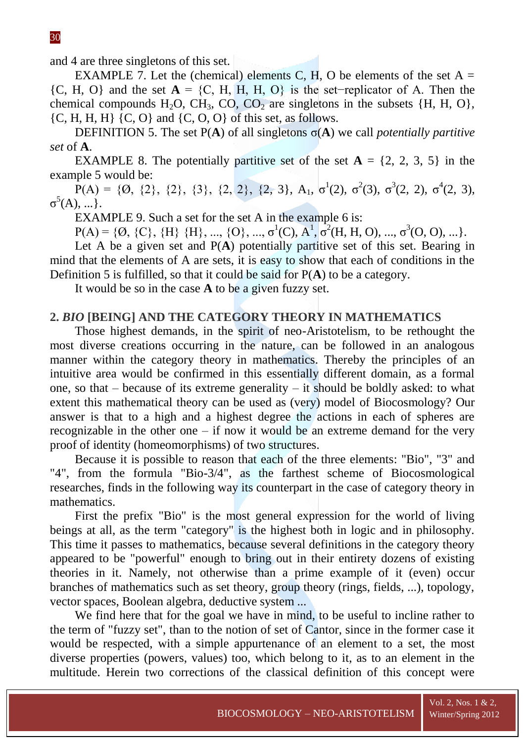and 4 are three singletons of this set.

EXAMPLE 7. Let the (chemical) elements C, H, O be elements of the set  $A =$ {C, H, O} and the set **A** = {C, H, H, H, O} is the set−replicator of A. Then the chemical compounds H<sub>2</sub>O, CH<sub>3</sub>, CO, CO<sub>2</sub> are singletons in the subsets  $\{H, H, O\}$ ,  $\{C, H, H, H\}$   $\{C, O\}$  and  $\{C, O, O\}$  of this set, as follows.

DEFINITION 5. The set  $P(A)$  of all singletons  $\sigma(A)$  we call *potentially partitive set* of **A**.

EXAMPLE 8. The potentially partitive set of the set  $A = \{2, 2, 3, 5\}$  in the example 5 would be:

 $\overline{P}(A) = \{0, \{2\}, \{2\}, \{3\}, \{2, 2\}, \{2, 3\}, A_1, \sigma^1(2), \sigma^2(3), \sigma^3(2, 2), \sigma^4(2, 3),$  $\sigma^5(A), \ldots$ }.

EXAMPLE 9. Such a set for the set A in the example 6 is:

 $P(A) = \{0, \{C\}, \{H\}, \{H\}, \ldots, \{O\}, \ldots, \sigma^1(C), A^1, \sigma^2(H, H, O), \ldots, \sigma^3(O, O), \ldots\}.$ 

Let A be a given set and  $P(A)$  potentially partitive set of this set. Bearing in mind that the elements of A are sets, it is easy to show that each of conditions in the Definition 5 is fulfilled, so that it could be said for P(**A**) to be a category.

It would be so in the case **A** to be a given fuzzy set.

#### **2.** *BIO* **[BEING] AND THE CATEGORY THEORY IN MATHEMATICS**

Those highest demands, in the spirit of neo-Aristotelism, to be rethought the most diverse creations occurring in the nature, can be followed in an analogous manner within the category theory in mathematics. Thereby the principles of an intuitive area would be confirmed in this essentially different domain, as a formal one, so that – because of its extreme generality – it should be boldly asked: to what extent this mathematical theory can be used as (very) model of Biocosmology? Our answer is that to a high and a highest degree the actions in each of spheres are recognizable in the other one – if now it would be an extreme demand for the very proof of identity (homeomorphisms) of two structures.

Because it is possible to reason that each of the three elements: "Bio", "3" and "4", from the formula "Bio-3/4", as the farthest scheme of Biocosmological researches, finds in the following way its counterpart in the case of category theory in mathematics.

First the prefix "Bio" is the most general expression for the world of living beings at all, as the term "category" is the highest both in logic and in philosophy. This time it passes to mathematics, because several definitions in the category theory appeared to be "powerful" enough to bring out in their entirety dozens of existing theories in it. Namely, not otherwise than a prime example of it (even) occur branches of mathematics such as set theory, group theory (rings, fields, ...), topology, vector spaces, Boolean algebra, deductive system ...

We find here that for the goal we have in mind, to be useful to incline rather to the term of "fuzzy set", than to the notion of set of Cantor, since in the former case it would be respected, with a simple appurtenance of an element to a set, the most diverse properties (powers, values) too, which belong to it, as to an element in the multitude. Herein two corrections of the classical definition of this concept were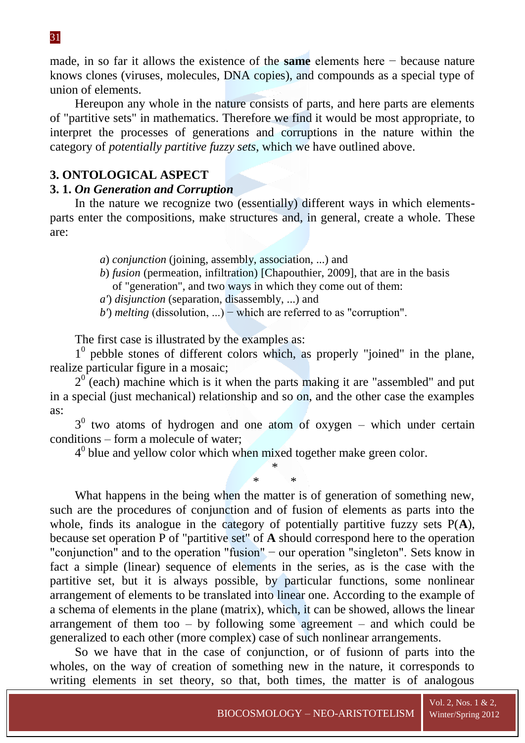31

made, in so far it allows the existence of the **same** elements here − because nature knows clones (viruses, molecules, DNA copies), and compounds as a special type of union of elements.

Hereupon any whole in the nature consists of parts, and here parts are elements of "partitive sets" in mathematics. Therefore we find it would be most appropriate, to interpret the processes of generations and corruptions in the nature within the category of *potentially partitive fuzzy sets*, which we have outlined above.

# **3. ONTOLOGICAL ASPECT**

## **3. 1.** *On Generation and Corruption*

In the nature we recognize two (essentially) different ways in which elementsparts enter the compositions, make structures and, in general, create a whole. These are:

*a*) *conjunction* (joining, assembly, association, ...) and

*b*) *fusion* (permeation, infiltration) [Chapouthier, 2009], that are in the basis of "generation", and two ways in which they come out of them:

*a'*) *disjunction* (separation, disassembly, ...) and

*b*') *melting* (dissolution, ...) − which are referred to as "corruption".

The first case is illustrated by the examples as:

1 0 pebble stones of different colors which, as properly "joined" in the plane, realize particular figure in a mosaic;

 $2^{0}$  (each) machine which is it when the parts making it are "assembled" and put in a special (just mechanical) relationship and so on, and the other case the examples as:

 $3<sup>0</sup>$  two atoms of hydrogen and one atom of oxygen – which under certain conditions – form a molecule of water;

\*

 $4<sup>0</sup>$  blue and yellow color which when mixed together make green color.

\* \* What happens in the being when the matter is of generation of something new, such are the procedures of conjunction and of fusion of elements as parts into the whole, finds its analogue in the category of potentially partitive fuzzy sets P(**A**), because set operation P of "partitive set" of **A** should correspond here to the operation "conjunction" and to the operation "fusion" − our operation "singleton". Sets know in fact a simple (linear) sequence of elements in the series, as is the case with the partitive set, but it is always possible, by particular functions, some nonlinear arrangement of elements to be translated into linear one. According to the example of a schema of elements in the plane (matrix), which, it can be showed, allows the linear arrangement of them too  $-$  by following some agreement  $-$  and which could be generalized to each other (more complex) case of such nonlinear arrangements.

So we have that in the case of conjunction, or of fusionn of parts into the wholes, on the way of creation of something new in the nature, it corresponds to writing elements in set theory, so that, both times, the matter is of analogous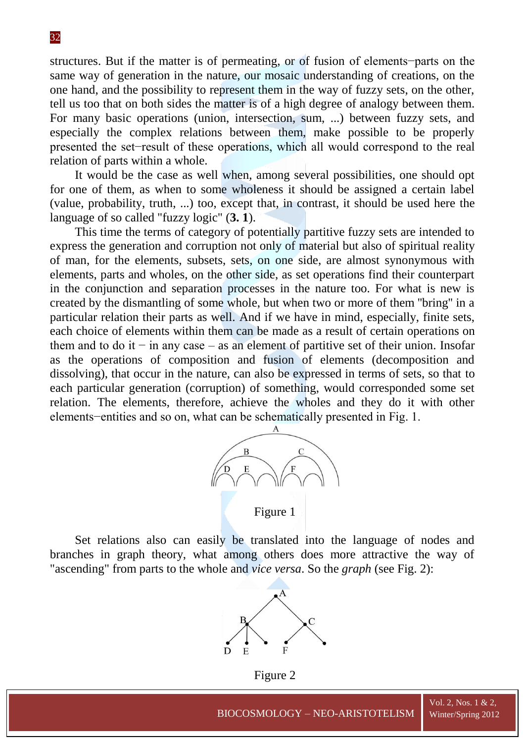32

structures. But if the matter is of permeating, or of fusion of elements−parts on the same way of generation in the nature, our mosaic understanding of creations, on the one hand, and the possibility to represent them in the way of fuzzy sets, on the other, tell us too that on both sides the matter is of a high degree of analogy between them. For many basic operations (union, intersection, sum, ...) between fuzzy sets, and especially the complex relations between them, make possible to be properly presented the set−result of these operations, which all would correspond to the real relation of parts within a whole.

It would be the case as well when, among several possibilities, one should opt for one of them, as when to some wholeness it should be assigned a certain label (value, probability, truth, ...) too, except that, in contrast, it should be used here the language of so called "fuzzy logic" (**3. 1**).

This time the terms of category of potentially partitive fuzzy sets are intended to express the generation and corruption not only of material but also of spiritual reality of man, for the elements, subsets, sets, on one side, are almost synonymous with elements, parts and wholes, on the other side, as set operations find their counterpart in the conjunction and separation processes in the nature too. For what is new is created by the dismantling of some whole, but when two or more of them ''bring'' in a particular relation their parts as well. And if we have in mind, especially, finite sets, each choice of elements within them can be made as a result of certain operations on them and to do it − in any case – as an element of partitive set of their union. Insofar as the operations of composition and fusion of elements (decomposition and dissolving), that occur in the nature, can also be expressed in terms of sets, so that to each particular generation (corruption) of something, would corresponded some set relation. The elements, therefore, achieve the wholes and they do it with other elements−entities and so on, what can be schematically presented in Fig. 1.



Figure 1

Set relations also can easily be translated into the language of nodes and branches in graph theory, what among others does more attractive the way of "ascending" from parts to the whole and *vice versa*. So the *graph* (see Fig. 2):



Figure 2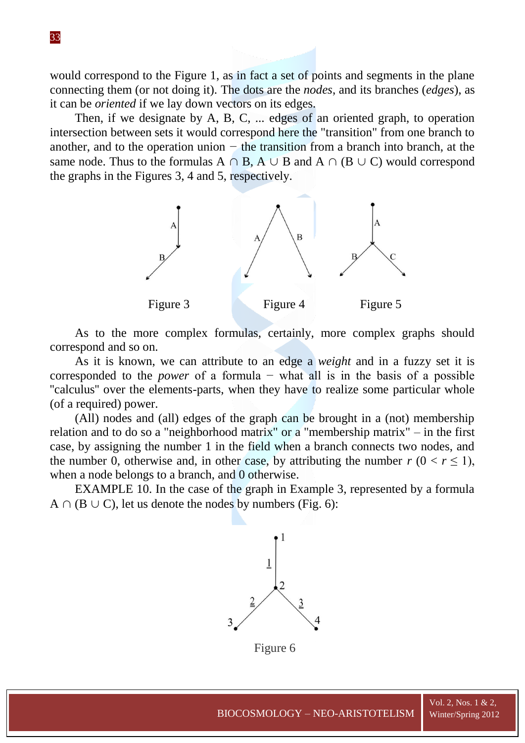would correspond to the Figure 1, as in fact a set of points and segments in the plane connecting them (or not doing it). The dots are the *nodes*, and its branches (*edges*), as it can be *oriented* if we lay down vectors on its edges.

Then, if we designate by A, B, C, ... edges of an oriented graph, to operation intersection between sets it would correspond here the "transition" from one branch to another, and to the operation union *−* the transition from a branch into branch, at the same node. Thus to the formulas  $A \cap B$ ,  $A \cup B$  and  $A \cap (B \cup C)$  would correspond the graphs in the Figures 3, 4 and 5, respectively.



As to the more complex formulas, certainly, more complex graphs should correspond and so on.

As it is known, we can attribute to an edge a *weight* and in a fuzzy set it is corresponded to the *power* of a formula − what all is in the basis of a possible ''calculus'' over the elements-parts, when they have to realize some particular whole (of a required) power.

(All) nodes and (all) edges of the graph can be brought in a (not) membership relation and to do so a "neighborhood matrix" or a "membership matrix" – in the first case, by assigning the number 1 in the field when a branch connects two nodes, and the number 0, otherwise and, in other case, by attributing the number  $r (0 < r \le 1)$ , when a node belongs to a branch, and 0 otherwise.

EXAMPLE 10. In the case of the graph in Example 3, represented by a formula  $A \cap (B \cup C)$ , let us denote the nodes by numbers (Fig. 6):



Figure 6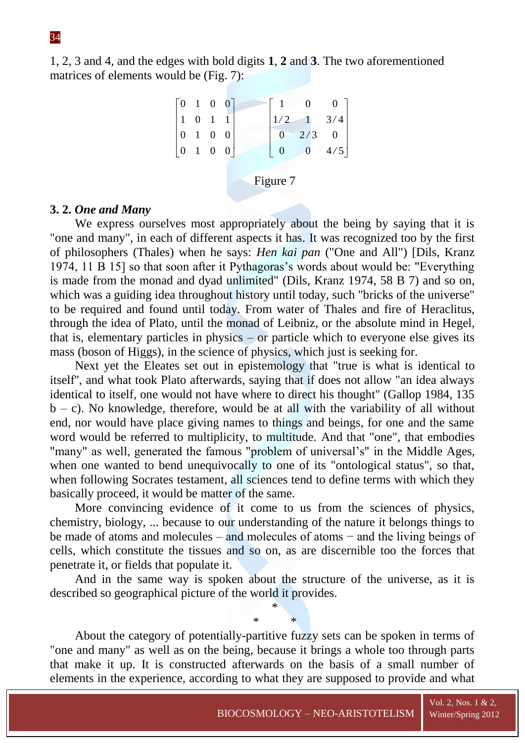# 1, 2, 3 and 4, and the edges with bold digits **1**, **2** and **3**. The two aforementioned matrices of elements would be (Fig. 7):

| $\begin{bmatrix} 0 & 1 & 0 & 0 \end{bmatrix}$ |          |  |                                                                |  |                  |  |                                                                        |
|-----------------------------------------------|----------|--|----------------------------------------------------------------|--|------------------|--|------------------------------------------------------------------------|
| $\begin{vmatrix} 1 & 0 & 1 & 1 \end{vmatrix}$ |          |  |                                                                |  | 1/2              |  |                                                                        |
|                                               |          |  | $\begin{bmatrix} 0 & 1 & 0 & 0 \\ 0 & 1 & 0 & 0 \end{bmatrix}$ |  | $\boldsymbol{0}$ |  |                                                                        |
|                                               |          |  |                                                                |  | $\boldsymbol{0}$ |  | $\begin{bmatrix} 0 & 0 \\ 1 & 3/4 \\ 2/3 & 0 \\ 0 & 4/5 \end{bmatrix}$ |
|                                               |          |  |                                                                |  |                  |  |                                                                        |
|                                               | Figure 7 |  |                                                                |  |                  |  |                                                                        |
|                                               |          |  |                                                                |  |                  |  |                                                                        |

## **3. 2.** *One and Many*

We express ourselves most appropriately about the being by saying that it is "one and many", in each of different aspects it has. It was recognized too by the first of philosophers (Thales) when he says: *Hen kai pan* ("One and All") [Dils, Kranz 1974, 11 B 15] so that soon after it Pythagoras's words about would be: "Everything is made from the monad and dyad unlimited" (Dils, Kranz 1974, 58 B 7) and so on, which was a guiding idea throughout history until today, such "bricks of the universe" to be required and found until today. From water of Thales and fire of Heraclitus, through the idea of Plato, until the monad of Leibniz, or the absolute mind in Hegel, that is, elementary particles in physics – or particle which to everyone else gives its mass (boson of Higgs), in the science of physics, which just is seeking for.

Next yet the Eleates set out in epistemology that "true is what is identical to itself'', and what took Plato afterwards, saying that if does not allow "an idea always identical to itself, one would not have where to direct his thought" (Gallop 1984, 135  $b - c$ ). No knowledge, therefore, would be at all with the variability of all without end, nor would have place giving names to things and beings, for one and the same word would be referred to multiplicity, to multitude. And that "one", that embodies "many" as well, generated the famous "problem of universal's" in the Middle Ages, when one wanted to bend unequivocally to one of its "ontological status", so that, when following Socrates testament, all sciences tend to define terms with which they basically proceed, it would be matter of the same.

More convincing evidence of it come to us from the sciences of physics, chemistry, biology, ... because to our understanding of the nature it belongs things to be made of atoms and molecules – and molecules of atoms − and the living beings of cells, which constitute the tissues and so on, as are discernible too the forces that penetrate it, or fields that populate it.

And in the same way is spoken about the structure of the universe, as it is described so geographical picture of the world it provides.

> \* \* \*

About the category of potentially-partitive fuzzy sets can be spoken in terms of "one and many" as well as on the being, because it brings a whole too through parts that make it up. It is constructed afterwards on the basis of a small number of elements in the experience, according to what they are supposed to provide and what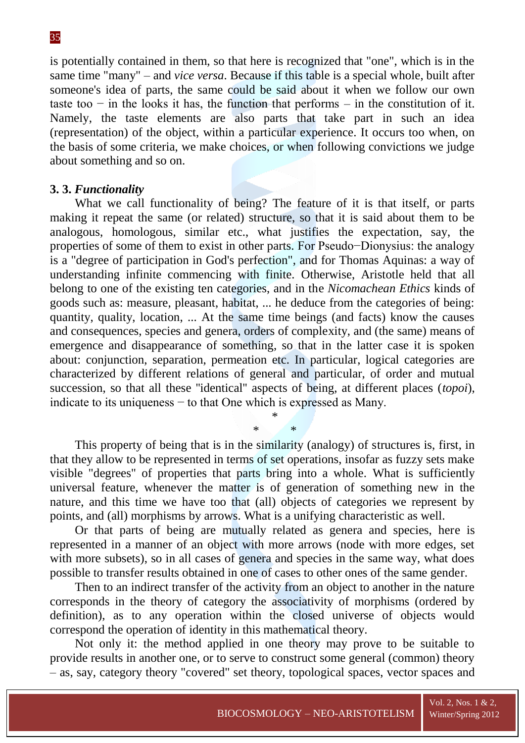is potentially contained in them, so that here is recognized that "one", which is in the same time "many" – and *vice versa*. Because if this table is a special whole, built after someone's idea of parts, the same could be said about it when we follow our own taste too  $-$  in the looks it has, the function that performs  $-$  in the constitution of it. Namely, the taste elements are also parts that take part in such an idea (representation) of the object, within a particular experience. It occurs too when, on the basis of some criteria, we make choices, or when following convictions we judge about something and so on.

## **3. 3.** *Functionality*

What we call functionality of being? The feature of it is that itself, or parts making it repeat the same (or related) structure, so that it is said about them to be analogous, homologous, similar etc., what justifies the expectation, say, the properties of some of them to exist in other parts. For Pseudo−Dionysius: the analogy is a "degree of participation in God's perfection", and for Thomas Aquinas: a way of understanding infinite commencing with finite. Otherwise, Aristotle held that all belong to one of the existing ten categories, and in the *Nicomachean Ethics* kinds of goods such as: measure, pleasant, habitat, ... he deduce from the categories of being: quantity, quality, location, ... At the same time beings (and facts) know the causes and consequences, species and genera, orders of complexity, and (the same) means of emergence and disappearance of something, so that in the latter case it is spoken about: conjunction, separation, permeation etc. In particular, logical categories are characterized by different relations of general and particular, of order and mutual succession, so that all these ''identical'' aspects of being, at different places (*topoi*), indicate to its uniqueness  $-$  to that One which is expressed as Many.

This property of being that is in the similarity (analogy) of structures is, first, in that they allow to be represented in terms of set operations, insofar as fuzzy sets make visible "degrees" of properties that parts bring into a whole. What is sufficiently universal feature, whenever the matter is of generation of something new in the nature, and this time we have too that (all) objects of categories we represent by points, and (all) morphisms by arrows. What is a unifying characteristic as well.

\* \* \*

Or that parts of being are mutually related as genera and species, here is represented in a manner of an object with more arrows (node with more edges, set with more subsets), so in all cases of genera and species in the same way, what does possible to transfer results obtained in one of cases to other ones of the same gender.

Then to an indirect transfer of the activity from an object to another in the nature corresponds in the theory of category the associativity of morphisms (ordered by definition), as to any operation within the closed universe of objects would correspond the operation of identity in this mathematical theory.

Not only it: the method applied in one theory may prove to be suitable to provide results in another one, or to serve to construct some general (common) theory – as, say, category theory "covered" set theory, topological spaces, vector spaces and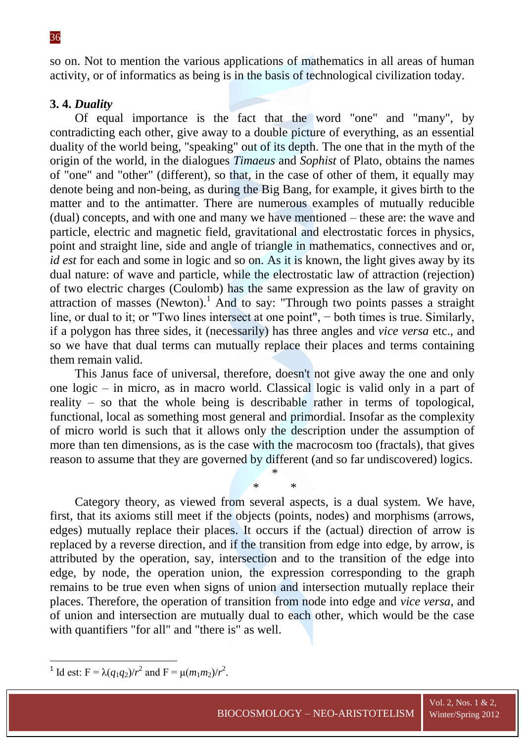so on. Not to mention the various applications of mathematics in all areas of human activity, or of informatics as being is in the basis of technological civilization today.

## **3. 4.** *Duality*

Of equal importance is the fact that the word "one" and "many", by contradicting each other, give away to a double picture of everything, as an essential duality of the world being, "speaking" out of its depth. The one that in the myth of the origin of the world, in the dialogues *Timaeus* and *Sophist* of Plato, obtains the names of "one" and "other" (different), so that, in the case of other of them, it equally may denote being and non-being, as during the Big Bang, for example, it gives birth to the matter and to the antimatter. There are numerous examples of mutually reducible (dual) concepts, and with one and many we have mentioned – these are: the wave and particle, electric and magnetic field, gravitational and electrostatic forces in physics, point and straight line, side and angle of triangle in mathematics, connectives and or, *id est* for each and some in logic and so on. As it is known, the light gives away by its dual nature: of wave and particle, while the electrostatic law of attraction (rejection) of two electric charges (Coulomb) has the same expression as the law of gravity on attraction of masses (Newton).<sup>1</sup> And to say: "Through two points passes a straight line, or dual to it; or "Two lines intersect at one point", − both times is true. Similarly, if a polygon has three sides, it (necessarily) has three angles and *vice versa* etc., and so we have that dual terms can mutually replace their places and terms containing them remain valid.

This Janus face of universal, therefore, doesn't not give away the one and only one logic – in micro, as in macro world. Classical logic is valid only in a part of reality – so that the whole being is describable rather in terms of topological, functional, local as something most general and primordial. Insofar as the complexity of micro world is such that it allows only the description under the assumption of more than ten dimensions, as is the case with the macrocosm too (fractals), that gives reason to assume that they are governed by different (and so far undiscovered) logics.

> \* \* \*

Category theory, as viewed from several aspects, is a dual system. We have, first, that its axioms still meet if the objects (points, nodes) and morphisms (arrows, edges) mutually replace their places. It occurs if the (actual) direction of arrow is replaced by a reverse direction, and if the transition from edge into edge, by arrow, is attributed by the operation, say, intersection and to the transition of the edge into edge, by node, the operation union, the expression corresponding to the graph remains to be true even when signs of union and intersection mutually replace their places. Therefore, the operation of transition from node into edge and *vice versa*, and of union and intersection are mutually dual to each other, which would be the case with quantifiers "for all" and "there is" as well.

**<sup>.</sup>** <sup>1</sup> Id est:  $F = \lambda(q_1q_2)/r^2$  and  $F = \mu(m_1m_2)/r^2$ .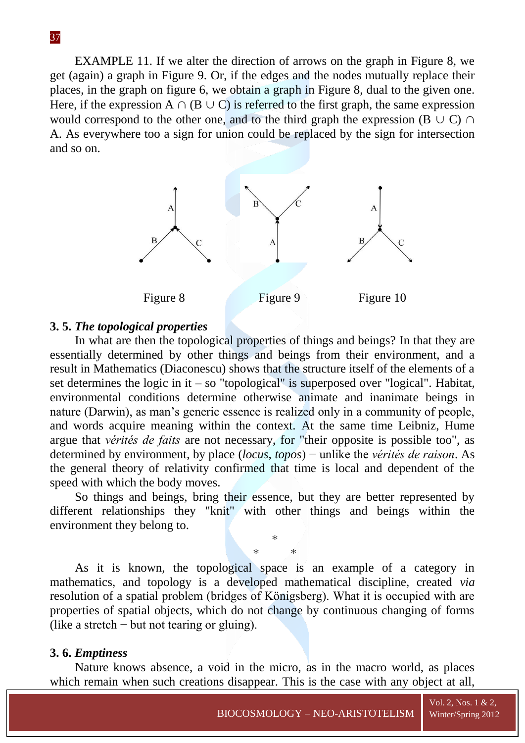EXAMPLE 11. If we alter the direction of arrows on the graph in Figure 8, we get (again) a graph in Figure 9. Or, if the edges and the nodes mutually replace their places, in the graph on figure 6, we obtain a graph in Figure 8, dual to the given one. Here, if the expression A  $\cap$  (B  $\cup$  C) is referred to the first graph, the same expression would correspond to the other one, and to the third graph the expression ( $B \cup C$ )  $\cap$ A. As everywhere too a sign for union could be replaced by the sign for intersection and so on.



#### **3. 5.** *The topological properties*

In what are then the topological properties of things and beings? In that they are essentially determined by other things and beings from their environment, and a result in Mathematics (Diaconescu) shows that the structure itself of the elements of a set determines the logic in it – so "topological" is superposed over "logical". Habitat, environmental conditions determine otherwise animate and inanimate beings in nature (Darwin), as man's generic essence is realized only in a community of people, and words acquire meaning within the context. At the same time Leibniz, Hume argue that *vérités de faits* are not necessary, for "their opposite is possible too", as determined by environment, by place (*locus*, *topos*) − unlike the *vérités de raison*. As the general theory of relativity confirmed that time is local and dependent of the speed with which the body moves.

So things and beings, bring their essence, but they are better represented by different relationships they "knit" with other things and beings within the environment they belong to.

> \* \* \*

As it is known, the topological space is an example of a category in mathematics, and topology is a developed mathematical discipline, created *via* resolution of a spatial problem (bridges of Königsberg). What it is occupied with are properties of spatial objects, which do not change by continuous changing of forms (like a stretch − but not tearing or gluing).

#### **3. 6.** *Emptiness*

Nature knows absence, a void in the micro, as in the macro world, as places which remain when such creations disappear. This is the case with any object at all,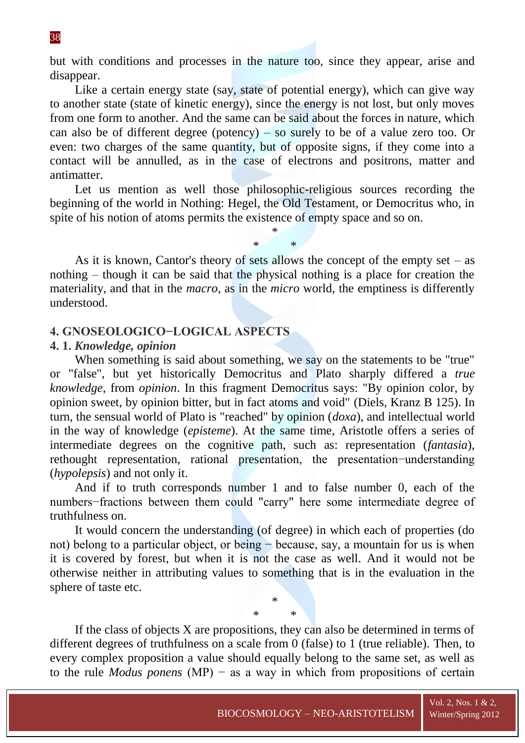but with conditions and processes in the nature too, since they appear, arise and disappear.

Like a certain energy state (say, state of potential energy), which can give way to another state (state of kinetic energy), since the energy is not lost, but only moves from one form to another. And the same can be said about the forces in nature, which can also be of different degree (potency) – so surely to be of a value zero too. Or even: two charges of the same quantity, but of opposite signs, if they come into a contact will be annulled, as in the case of electrons and positrons, matter and antimatter.

Let us mention as well those philosophic-religious sources recording the beginning of the world in Nothing: Hegel, the Old Testament, or Democritus who, in spite of his notion of atoms permits the existence of empty space and so on.

> \* \* \*

As it is known, Cantor's theory of sets allows the concept of the empty set – as nothing – though it can be said that the physical nothing is a place for creation the materiality, and that in the *macro*, as in the *micro* world, the emptiness is differently understood.

## **4. GNOSEOLOGICO−LOGICAL ASPECTS**

#### **4. 1.** *Knowledge, opinion*

When something is said about something, we say on the statements to be "true" or "false", but yet historically Democritus and Plato sharply differed a *true knowledge*, from *opinion*. In this fragment Democritus says: "By opinion color, by opinion sweet, by opinion bitter, but in fact atoms and void" (Diels, Kranz B 125). In turn, the sensual world of Plato is "reached" by opinion (*doxa*), and intellectual world in the way of knowledge (*episteme*). At the same time, Aristotle offers a series of intermediate degrees on the cognitive path, such as: representation (*fantasia*), rethought representation, rational presentation, the presentation−understanding (*hypolepsis*) and not only it.

And if to truth corresponds number 1 and to false number 0, each of the numbers−fractions between them could "carry" here some intermediate degree of truthfulness on.

It would concern the understanding (of degree) in which each of properties (do not) belong to a particular object, or being − because, say, a mountain for us is when it is covered by forest, but when it is not the case as well. And it would not be otherwise neither in attributing values to something that is in the evaluation in the sphere of taste etc.

> \* \* \*

If the class of objects X are propositions, they can also be determined in terms of different degrees of truthfulness on a scale from 0 (false) to 1 (true reliable). Then, to every complex proposition a value should equally belong to the same set, as well as to the rule *Modus ponens* (MP) − as a way in which from propositions of certain

## 38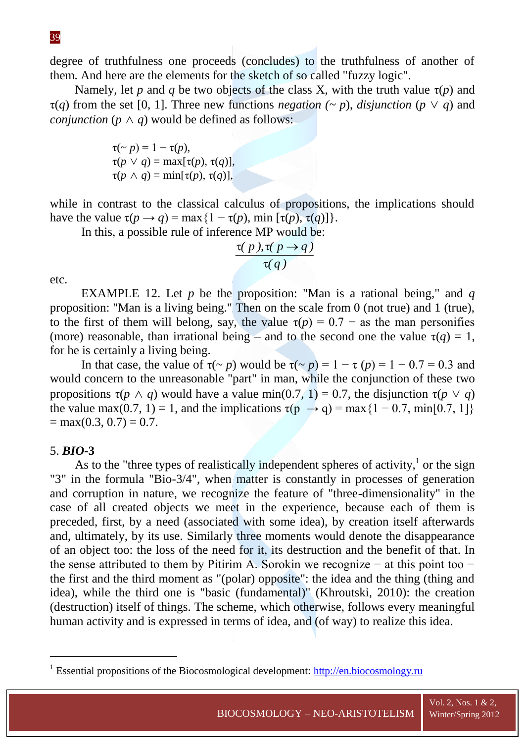degree of truthfulness one proceeds (concludes) to the truthfulness of another of them. And here are the elements for the sketch of so called "fuzzy logic".

Namely, let *p* and *q* be two objects of the class X, with the truth value  $\tau(p)$  and  $\tau(q)$  from the set [0, 1]. Three new functions *negation*  $(\sim p)$ , *disjunction*  $(p \vee q)$  and *conjunction* ( $p \wedge q$ ) would be defined as follows:

$$
\tau(\sim p) = 1 - \tau(p),
$$
  
\n
$$
\tau(p \lor q) = \max[\tau(p), \tau(q)],
$$
  
\n
$$
\tau(p \land q) = \min[\tau(p), \tau(q)],
$$

while in contrast to the classical calculus of propositions, the implications should have the value  $\tau(p \to q) = \max\{1 - \tau(p), \min[\tau(p), \tau(q)]\}.$ 

In this, a possible rule of inference MP would be:

$$
\frac{\tau(p), \tau(p \to q)}{\tau(q)}
$$

etc.

EXAMPLE 12. Let *p* be the proposition: "Man is a rational being," and *q* proposition: "Man is a living being." Then on the scale from 0 (not true) and 1 (true), to the first of them will belong, say, the value  $\tau(p) = 0.7 -$  as the man personifies (more) reasonable, than irrational being – and to the second one the value  $\tau(q) = 1$ , for he is certainly a living being.

In that case, the value of  $\tau(\sim p)$  would be  $\tau(\sim p) = 1 - \tau(p) = 1 - 0.7 = 0.3$  and would concern to the unreasonable "part" in man, while the conjunction of these two propositions  $\tau(p \wedge q)$  would have a value min(0.7, 1) = 0.7, the disjunction  $\tau(p \vee q)$ the value max(0.7, 1) = 1, and the implications  $\tau(p \rightarrow q) = \max\{1 - 0.7, \min[0.7, 1]\}$  $=$  max(0.3, 0.7) = 0.7.

## 5. *BIO-***3**

1

As to the "three types of realistically independent spheres of activity, $1$  or the sign "3" in the formula "Bio-3/4", when matter is constantly in processes of generation and corruption in nature, we recognize the feature of "three-dimensionality" in the case of all created objects we meet in the experience, because each of them is preceded, first, by a need (associated with some idea), by creation itself afterwards and, ultimately, by its use. Similarly three moments would denote the disappearance of an object too: the loss of the need for it, its destruction and the benefit of that. In the sense attributed to them by Pitirim A. Sorokin we recognize − at this point too − the first and the third moment as "(polar) opposite": the idea and the thing (thing and idea), while the third one is "basic (fundamental)" (Khroutski, 2010): the creation (destruction) itself of things. The scheme, which otherwise, follows every meaningful human activity and is expressed in terms of idea, and (of way) to realize this idea.

Vol. 2, Nos. 1 & 2,

<sup>&</sup>lt;sup>1</sup> Essential propositions of the Biocosmological development: [http://en.biocosmology.ru](http://en.biocosmology.ru/)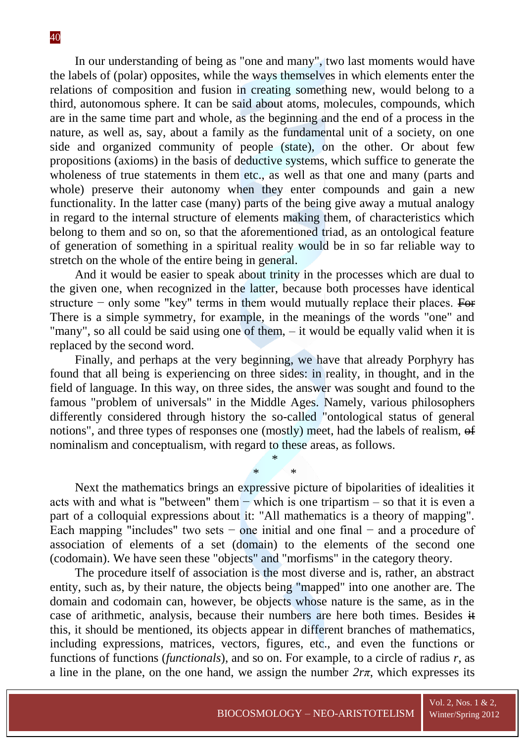In our understanding of being as "one and many", two last moments would have the labels of (polar) opposites, while the ways themselves in which elements enter the relations of composition and fusion in creating something new, would belong to a third, autonomous sphere. It can be said about atoms, molecules, compounds, which are in the same time part and whole, as the beginning and the end of a process in the nature, as well as, say, about a family as the fundamental unit of a society, on one side and organized community of people (state), on the other. Or about few propositions (axioms) in the basis of deductive systems, which suffice to generate the wholeness of true statements in them etc., as well as that one and many (parts and whole) preserve their autonomy when they enter compounds and gain a new functionality. In the latter case (many) parts of the being give away a mutual analogy in regard to the internal structure of elements making them, of characteristics which belong to them and so on, so that the aforementioned triad, as an ontological feature of generation of something in a spiritual reality would be in so far reliable way to stretch on the whole of the entire being in general.

And it would be easier to speak about trinity in the processes which are dual to the given one, when recognized in the latter, because both processes have identical structure − only some "key" terms in them would mutually replace their places. For There is a simple symmetry, for example, in the meanings of the words "one" and "many", so all could be said using one of them, – it would be equally valid when it is replaced by the second word.

Finally, and perhaps at the very beginning, we have that already Porphyry has found that all being is experiencing on three sides: in reality, in thought, and in the field of language. In this way, on three sides, the answer was sought and found to the famous "problem of universals" in the Middle Ages. Namely, various philosophers differently considered through history the so-called "ontological status of general notions", and three types of responses one (mostly) meet, had the labels of realism, of nominalism and conceptualism, with regard to these areas, as follows.

> \* \* \*

Next the mathematics brings an expressive picture of bipolarities of idealities it acts with and what is "between" them − which is one tripartism – so that it is even a part of a colloquial expressions about it: "All mathematics is a theory of mapping". Each mapping "includes" two sets  $-$  one initial and one final  $-$  and a procedure of association of elements of a set (domain) to the elements of the second one (codomain). We have seen these "objects" and "morfisms" in the category theory.

The procedure itself of association is the most diverse and is, rather, an abstract entity, such as, by their nature, the objects being "mapped" into one another are. The domain and codomain can, however, be objects whose nature is the same, as in the case of arithmetic, analysis, because their numbers are here both times. Besides it this, it should be mentioned, its objects appear in different branches of mathematics, including expressions, matrices, vectors, figures, etc., and even the functions or functions of functions (*functionals*), and so on. For example, to a circle of radius *r*, as a line in the plane, on the one hand, we assign the number  $2r\pi$ , which expresses its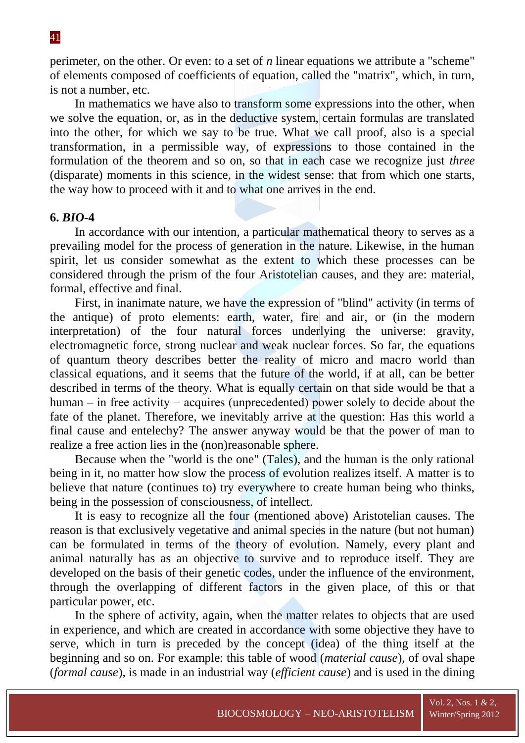perimeter, on the other. Or even: to a set of *n* linear equations we attribute a "scheme" of elements composed of coefficients of equation, called the "matrix", which, in turn, is not a number, etc.

In mathematics we have also to transform some expressions into the other, when we solve the equation, or, as in the deductive system, certain formulas are translated into the other, for which we say to be true. What we call proof, also is a special transformation, in a permissible way, of expressions to those contained in the formulation of the theorem and so on, so that in each case we recognize just *three* (disparate) moments in this science, in the widest sense: that from which one starts, the way how to proceed with it and to what one arrives in the end.

# **6.** *BIO-***4**

In accordance with our intention, a particular mathematical theory to serves as a prevailing model for the process of generation in the nature. Likewise, in the human spirit, let us consider somewhat as the extent to which these processes can be considered through the prism of the four Aristotelian causes, and they are: material, formal, effective and final.

First, in inanimate nature, we have the expression of "blind" activity (in terms of the antique) of proto elements: earth, water, fire and air, or (in the modern interpretation) of the four natural forces underlying the universe: gravity, electromagnetic force, strong nuclear and weak nuclear forces. So far, the equations of quantum theory describes better the reality of micro and macro world than classical equations, and it seems that the future of the world, if at all, can be better described in terms of the theory. What is equally certain on that side would be that a human – in free activity − acquires (unprecedented) power solely to decide about the fate of the planet. Therefore, we inevitably arrive at the question: Has this world a final cause and entelechy? The answer anyway would be that the power of man to realize a free action lies in the (non)reasonable sphere.

Because when the "world is the one" (Tales), and the human is the only rational being in it, no matter how slow the process of evolution realizes itself. A matter is to believe that nature (continues to) try everywhere to create human being who thinks, being in the possession of consciousness, of intellect.

It is easy to recognize all the four (mentioned above) Aristotelian causes. The reason is that exclusively vegetative and animal species in the nature (but not human) can be formulated in terms of the theory of evolution. Namely, every plant and animal naturally has as an objective to survive and to reproduce itself. They are developed on the basis of their genetic codes, under the influence of the environment, through the overlapping of different factors in the given place, of this or that particular power, etc.

In the sphere of activity, again, when the matter relates to objects that are used in experience, and which are created in accordance with some objective they have to serve, which in turn is preceded by the concept (idea) of the thing itself at the beginning and so on. For example: this table of wood (*material cause*), of oval shape (*formal cause*), is made in an industrial way (*efficient cause*) and is used in the dining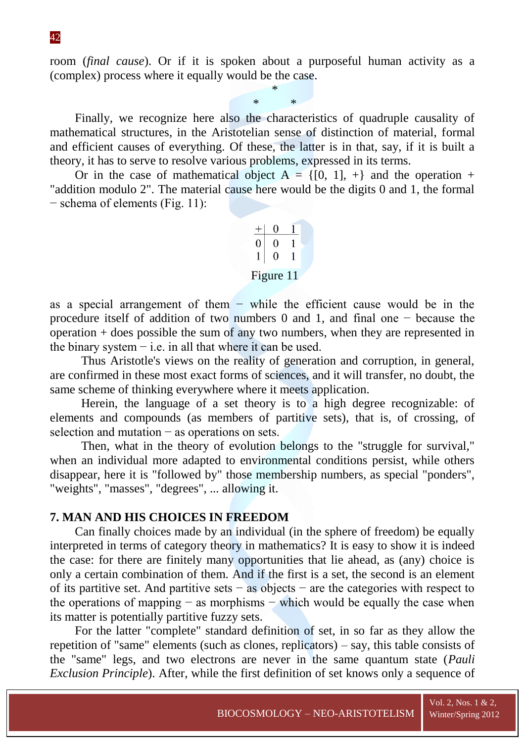room (*final cause*). Or if it is spoken about a purposeful human activity as a (complex) process where it equally would be the case.

> \* \* \*

Finally, we recognize here also the characteristics of quadruple causality of mathematical structures, in the Aristotelian sense of distinction of material, formal and efficient causes of everything. Of these, the latter is in that, say, if it is built a theory, it has to serve to resolve various problems, expressed in its terms.

Or in the case of mathematical object  $A = \{[0, 1], +\}$  and the operation + "addition modulo 2". The material cause here would be the digits 0 and 1, the formal − schema of elements (Fig. 11):

| U | U         |  |
|---|-----------|--|
|   |           |  |
|   | Figure 11 |  |

as a special arrangement of them − while the efficient cause would be in the procedure itself of addition of two numbers 0 and 1, and final one − because the operation + does possible the sum of any two numbers, when they are represented in the binary system  $-$  i.e. in all that where it can be used.

Thus Aristotle's views on the reality of generation and corruption, in general, are confirmed in these most exact forms of sciences, and it will transfer, no doubt, the same scheme of thinking everywhere where it meets application.

Herein, the language of a set theory is to a high degree recognizable: of elements and compounds (as members of partitive sets), that is, of crossing, of selection and mutation – as operations on sets.

Then, what in the theory of evolution belongs to the "struggle for survival," when an individual more adapted to environmental conditions persist, while others disappear, here it is "followed by" those membership numbers, as special "ponders", "weights", "masses", "degrees", ... allowing it.

## **7. MAN AND HIS CHOICES IN FREEDOM**

Can finally choices made by an individual (in the sphere of freedom) be equally interpreted in terms of category theory in mathematics? It is easy to show it is indeed the case: for there are finitely many opportunities that lie ahead, as (any) choice is only a certain combination of them. And if the first is a set, the second is an element of its partitive set. And partitive sets − as objects − are the categories with respect to the operations of mapping  $-$  as morphisms  $-$  which would be equally the case when its matter is potentially partitive fuzzy sets.

For the latter "complete" standard definition of set, in so far as they allow the repetition of "same" elements (such as clones, replicators) – say, this table consists of the "same" legs, and two electrons are never in the same quantum state (*Pauli Exclusion Principle*). After, while the first definition of set knows only a sequence of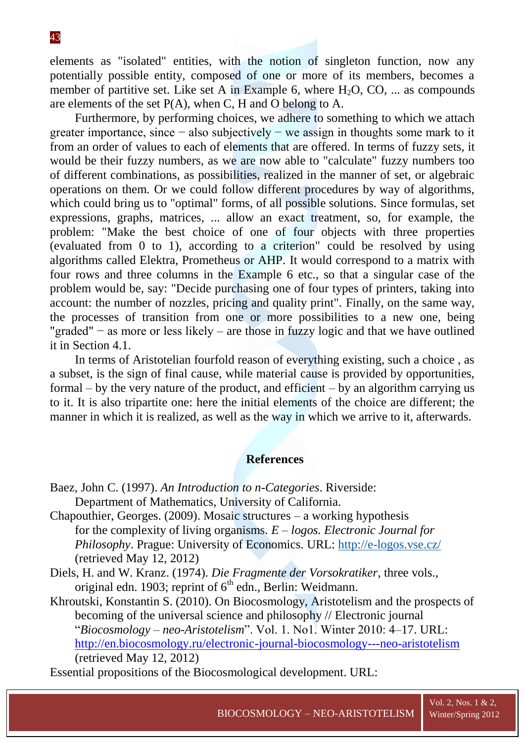elements as "isolated" entities, with the notion of singleton function, now any potentially possible entity, composed of one or more of its members, becomes a member of partitive set. Like set A in Example 6, where  $H_2O$ , CO, ... as compounds are elements of the set  $P(A)$ , when C, H and O belong to A.

Furthermore, by performing choices, we adhere to something to which we attach greater importance, since − also subjectively − we assign in thoughts some mark to it from an order of values to each of elements that are offered. In terms of fuzzy sets, it would be their fuzzy numbers, as we are now able to "calculate" fuzzy numbers too of different combinations, as possibilities, realized in the manner of set, or algebraic operations on them. Or we could follow different procedures by way of algorithms, which could bring us to "optimal" forms, of all possible solutions. Since formulas, set expressions, graphs, matrices, ... allow an exact treatment, so, for example, the problem: "Make the best choice of one of four objects with three properties (evaluated from 0 to 1), according to a criterion" could be resolved by using algorithms called Elektra, Prometheus or AHP. It would correspond to a matrix with four rows and three columns in the Example 6 etc., so that a singular case of the problem would be, say: "Decide purchasing one of four types of printers, taking into account: the number of nozzles, pricing and quality print". Finally, on the same way, the processes of transition from one or more possibilities to a new one, being "graded" − as more or less likely – are those in fuzzy logic and that we have outlined it in Section 4.1.

In terms of Aristotelian fourfold reason of everything existing, such a choice , as a subset, is the sign of final cause, while material cause is provided by opportunities, formal – by the very nature of the product, and efficient – by an algorithm carrying us to it. It is also tripartite one: here the initial elements of the choice are different; the manner in which it is realized, as well as the way in which we arrive to it, afterwards.

# **References**

- Baez, John C. (1997). *An Introduction to n-Categories*. Riverside: Department of Mathematics, University of California.
- Chapouthier, Georges. (2009). Mosaic structures a working hypothesis for the complexity of living organisms*. E – logos. Electronic Journal for Philosophy*. Prague: University of Economics. URL:<http://e-logos.vse.cz/> (retrieved May 12, 2012)
- Diels, H. and W. Kranz. (1974). *Die Fragmente der Vorsokratiker*, three vols., original edn. 1903; reprint of  $6<sup>th</sup>$  edn., Berlin: Weidmann.

Khroutski, Konstantin S. (2010). On Biocosmology, Aristotelism and the prospects of becoming of the universal science and philosophy // Electronic journal "*Biocosmology – neo-Aristotelism*". Vol. 1. No1. Winter 2010: 4–17. URL: <http://en.biocosmology.ru/electronic-journal-biocosmology---neo-aristotelism> (retrieved May 12, 2012)

Essential propositions of the Biocosmological development. URL: